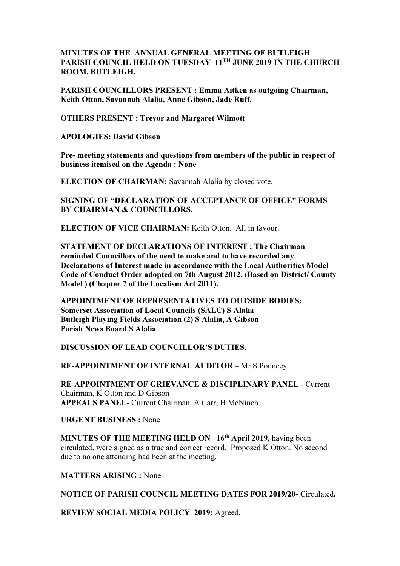## MINUTES OF THE ANNUAL GENERAL MEETING OF BUTLEIGH PARISH COUNCIL HELD ON TUESDAY 11<sup>TH</sup> JUNE 2019 IN THE CHURCH ROOM, BUTLEIGH.

PARISH COUNCILLORS PRESENT : Emma Aitken as outgoing Chairman, Keith Otton, Savannah Alalia, Anne Gibson, Jade Ruff.

OTHERS PRESENT : Trevor and Margaret Wilmott

APOLOGIES: David Gibson

Pre- meeting statements and questions from members of the public in respect of business itemised on the Agenda : None

ELECTION OF CHAIRMAN: Savannah Alalia by closed vote.

SIGNING OF "DECLARATION OF ACCEPTANCE OF OFFICE" FORMS BY CHAIRMAN & COUNCILLORS.

ELECTION OF VICE CHAIRMAN: Keith Otton. All in favour.

STATEMENT OF DECLARATIONS OF INTEREST : The Chairman reminded Councillors of the need to make and to have recorded any Declarations of Interest made in accordance with the Local Authorities Model Code of Conduct Order adopted on 7th August 2012. (Based on District/ County Model ) (Chapter 7 of the Localism Act 2011).

APPOINTMENT OF REPRESENTATIVES TO OUTSIDE BODIES: Somerset Association of Local Councils (SALC) S Alalia Butleigh Playing Fields Association (2) S Alalia, A Gibson Parish News Board S Alalia

DISCUSSION OF LEAD COUNCILLOR'S DUTIES.

RE-APPOINTMENT OF INTERNAL AUDITOR – Mr S Pouncey

RE-APPOINTMENT OF GRIEVANCE & DISCIPLINARY PANEL - Current Chairman, K Otton and D Gibson APPEALS PANEL- Current Chairman, A Carr, H McNinch.

URGENT BUSINESS : None

MINUTES OF THE MEETING HELD ON 16<sup>th</sup> April 2019, having been circulated, were signed as a true and correct record. Proposed K Otton. No second due to no one attending had been at the meeting.

MATTERS ARISING : None

NOTICE OF PARISH COUNCIL MEETING DATES FOR 2019/20- Circulated.

REVIEW SOCIAL MEDIA POLICY 2019: Agreed.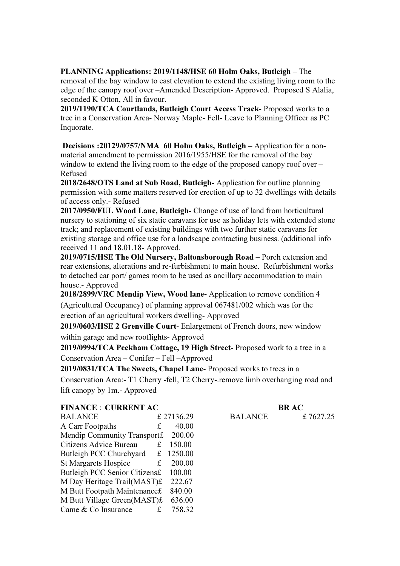PLANNING Applications: 2019/1148/HSE 60 Holm Oaks, Butleigh – The removal of the bay window to east elevation to extend the existing living room to the edge of the canopy roof over –Amended Description- Approved. Proposed S Alalia, seconded K Otton, All in favour.

2019/1190/TCA Courtlands, Butleigh Court Access Track- Proposed works to a tree in a Conservation Area- Norway Maple- Fell- Leave to Planning Officer as PC Inquorate.

 Decisions :20129/0757/NMA 60 Holm Oaks, Butleigh – Application for a nonmaterial amendment to permission 2016/1955/HSE for the removal of the bay window to extend the living room to the edge of the proposed canopy roof over – Refused

2018/2648/OTS Land at Sub Road, Butleigh- Application for outline planning permission with some matters reserved for erection of up to 32 dwellings with details of access only.- Refused

2017/0950/FUL Wood Lane, Butleigh- Change of use of land from horticultural nursery to stationing of six static caravans for use as holiday lets with extended stone track; and replacement of existing buildings with two further static caravans for existing storage and office use for a landscape contracting business. (additional info received 11 and 18.01.18- Approved.

2019/0715/HSE The Old Nursery, Baltonsborough Road – Porch extension and rear extensions, alterations and re-furbishment to main house. Refurbishment works to detached car port/ games room to be used as ancillary accommodation to main house.- Approved

2018/2899/VRC Mendip View, Wood lane- Application to remove condition 4 (Agricultural Occupancy) of planning approval 067481/002 which was for the erection of an agricultural workers dwelling- Approved

2019/0603/HSE 2 Grenville Court- Enlargement of French doors, new window within garage and new rooflights- Approved

2019/0994/TCA Peckham Cottage, 19 High Street- Proposed work to a tree in a Conservation Area – Conifer – Fell –Approved

2019/0831/TCA The Sweets, Chapel Lane- Proposed works to trees in a Conservation Area:- T1 Cherry -fell, T2 Cherry-.remove limb overhanging road and lift canopy by 1m.- Approved

## FINANCE : CURRENT AC BR AC

| <b>BALANCE</b>                |    | £27136.29 |
|-------------------------------|----|-----------|
| A Carr Footpaths              | £  | 40.00     |
| Mendip Community Transport£   |    | 200.00    |
| Citizens Advice Bureau        | £  | 150.00    |
| Butleigh PCC Churchyard       | £  | 1250.00   |
| <b>St Margarets Hospice</b>   | £  | 200.00    |
| Butleigh PCC Senior Citizens£ |    | 100.00    |
| M Day Heritage Trail(MAST)£   |    | 222.67    |
| M Butt Footpath Maintenance£  |    | 840.00    |
| M Butt Village Green(MAST)£   |    | 636.00    |
| Came & Co Insurance           | £. | 758.32    |

BALANCE £ 7627.25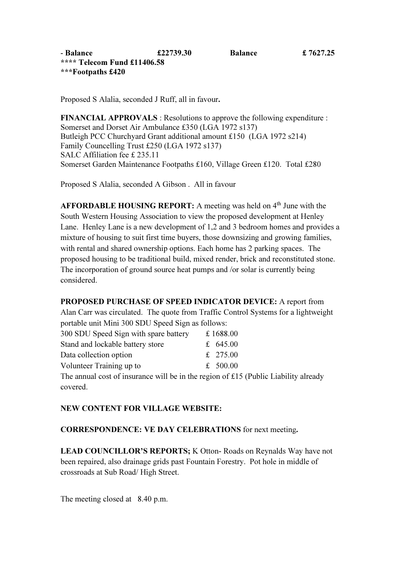Proposed S Alalia, seconded J Ruff, all in favour.

FINANCIAL APPROVALS : Resolutions to approve the following expenditure : Somerset and Dorset Air Ambulance £350 (LGA 1972 s137) Butleigh PCC Churchyard Grant additional amount £150 (LGA 1972 s214) Family Councelling Trust £250 (LGA 1972 s137) SALC Affiliation fee £ 235.11 Somerset Garden Maintenance Footpaths £160, Village Green £120. Total £280

Proposed S Alalia, seconded A Gibson . All in favour

AFFORDABLE HOUSING REPORT: A meeting was held on  $4<sup>th</sup>$  June with the South Western Housing Association to view the proposed development at Henley Lane. Henley Lane is a new development of 1,2 and 3 bedroom homes and provides a mixture of housing to suit first time buyers, those downsizing and growing families, with rental and shared ownership options. Each home has 2 parking spaces. The proposed housing to be traditional build, mixed render, brick and reconstituted stone. The incorporation of ground source heat pumps and /or solar is currently being considered.

## PROPOSED PURCHASE OF SPEED INDICATOR DEVICE: A report from

Alan Carr was circulated. The quote from Traffic Control Systems for a lightweight portable unit Mini 300 SDU Speed Sign as follows:

| 300 SDU Speed Sign with spare battery | £1688.00   |
|---------------------------------------|------------|
| Stand and lockable battery store      | £ 645.00   |
| Data collection option                | £ 275.00   |
| Volunteer Training up to              | £ $500.00$ |

The annual cost of insurance will be in the region of £15 (Public Liability already covered.

## NEW CONTENT FOR VILLAGE WEBSITE:

CORRESPONDENCE: VE DAY CELEBRATIONS for next meeting.

LEAD COUNCILLOR'S REPORTS; K Otton-Roads on Reynalds Way have not been repaired, also drainage grids past Fountain Forestry. Pot hole in middle of crossroads at Sub Road/ High Street.

The meeting closed at 8.40 p.m.